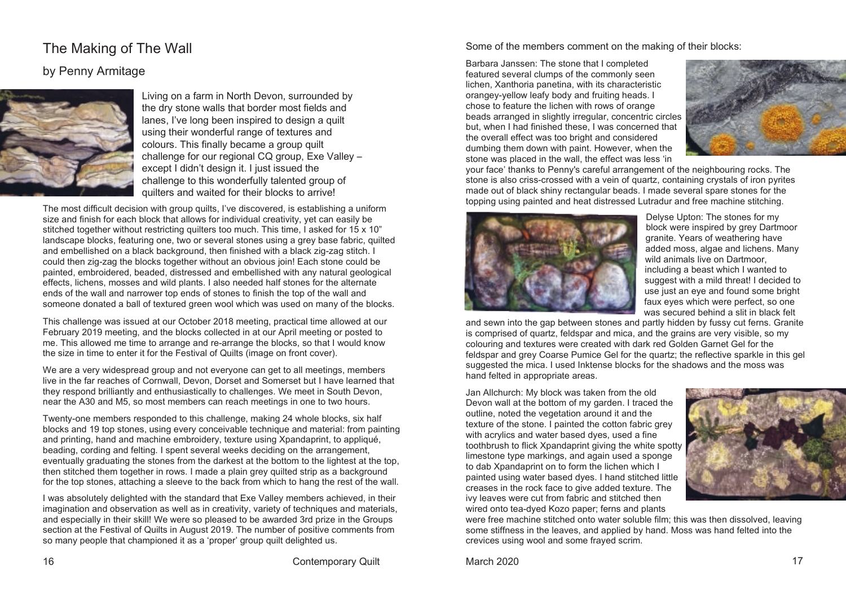## The Making of The Wall

## by Penny Armitage



Living on a farm in North Devon, surrounded by the dry stone walls that border most fields and lanes, I've long been inspired to design a quilt using their wonderful range of textures and colours. This finally became a group quilt challenge for our regional CQ group, Exe Valley – except I didn't design it. I just issued the challenge to this wonderfully talented group of quilters and waited for their blocks to arrive!

The most difficult decision with group quilts, I've discovered, is establishing a uniform size and finish for each block that allows for individual creativity, yet can easily be stitched together without restricting quilters too much. This time, I asked for 15 x 10" landscape blocks, featuring one, two or several stones using a grey base fabric, quilted and embellished on a black background, then finished with a black zig-zag stitch. I could then zig-zag the blocks together without an obvious join! Each stone could be painted, embroidered, beaded, distressed and embellished with any natural geological effects, lichens, mosses and wild plants. I also needed half stones for the alternate ends of the wall and narrower top ends of stones to finish the top of the wall and someone donated a ball of textured green wool which was used on many of the blocks.

This challenge was issued at our October 2018 meeting, practical time allowed at our February 2019 meeting, and the blocks collected in at our April meeting or posted to me. This allowed me time to arrange and re-arrange the blocks, so that I would know the size in time to enter it for the Festival of Quilts (image on front cover).

We are a very widespread group and not everyone can get to all meetings, members live in the far reaches of Cornwall, Devon, Dorset and Somerset but I have learned that they respond brilliantly and enthusiastically to challenges. We meet in South Devon, near the A30 and M5, so most members can reach meetings in one to two hours.

Twenty-one members responded to this challenge, making 24 whole blocks, six half blocks and 19 top stones, using every conceivable technique and material: from painting and printing, hand and machine embroidery, texture using Xpandaprint, to appliqué, beading, cording and felting. I spent several weeks deciding on the arrangement, eventually graduating the stones from the darkest at the bottom to the lightest at the top, then stitched them together in rows. I made a plain grey quilted strip as a background for the top stones, attaching a sleeve to the back from which to hang the rest of the wall.

I was absolutely delighted with the standard that Exe Valley members achieved, in their imagination and observation as well as in creativity, variety of techniques and materials, and especially in their skill! We were so pleased to be awarded 3rd prize in the Groups section at the Festival of Quilts in August 2019. The number of positive comments from so many people that championed it as a 'proper' group quilt delighted us.

Some of the members comment on the making of their blocks:

Barbara Janssen: The stone that I completed featured several clumps of the commonly seen lichen, Xanthoria panetina, with its characteristic orangey-yellow leafy body and fruiting heads. I chose to feature the lichen with rows of orange beads arranged in slightly irregular, concentric circles but, when I had finished these, I was concerned that the overall effect was too bright and considered dumbing them down with paint. However, when the stone was placed in the wall, the effect was less 'in



your face' thanks to Penny's careful arrangement of the neighbouring rocks. The stone is also criss-crossed with a vein of quartz, containing crystals of iron pyrites made out of black shiny rectangular beads. I made several spare stones for the topping using painted and heat distressed Lutradur and free machine stitching.



Delyse Upton: The stones for my block were inspired by grey Dartmoor granite. Years of weathering have added moss, algae and lichens. Many wild animals live on Dartmoor. including a beast which I wanted to suggest with a mild threat! I decided to use just an eye and found some bright faux eyes which were perfect, so one was secured behind a slit in black felt

and sewn into the gap between stones and partly hidden by fussy cut ferns. Granite is comprised of quartz, feldspar and mica, and the grains are very visible, so my colouring and textures were created with dark red Golden Garnet Gel for the feldspar and grey Coarse Pumice Gel for the quartz; the reflective sparkle in this gel suggested the mica. I used Inktense blocks for the shadows and the moss was hand felted in appropriate areas.

Jan Allchurch: My block was taken from the old Devon wall at the bottom of my garden. I traced the outline, noted the vegetation around it and the texture of the stone. I painted the cotton fabric grey with acrylics and water based dyes, used a fine toothbrush to flick Xpandaprint giving the white spotty limestone type markings, and again used a sponge to dab Xpandaprint on to form the lichen which I painted using water based dyes. I hand stitched little creases in the rock face to give added texture. The ivy leaves were cut from fabric and stitched then wired onto tea-dyed Kozo paper; ferns and plants



were free machine stitched onto water soluble film; this was then dissolved, leaving some stiffness in the leaves, and applied by hand. Moss was hand felted into the crevices using wool and some frayed scrim.

16 Contemporary Quilt March 2020 17 November 17 November 2020 17